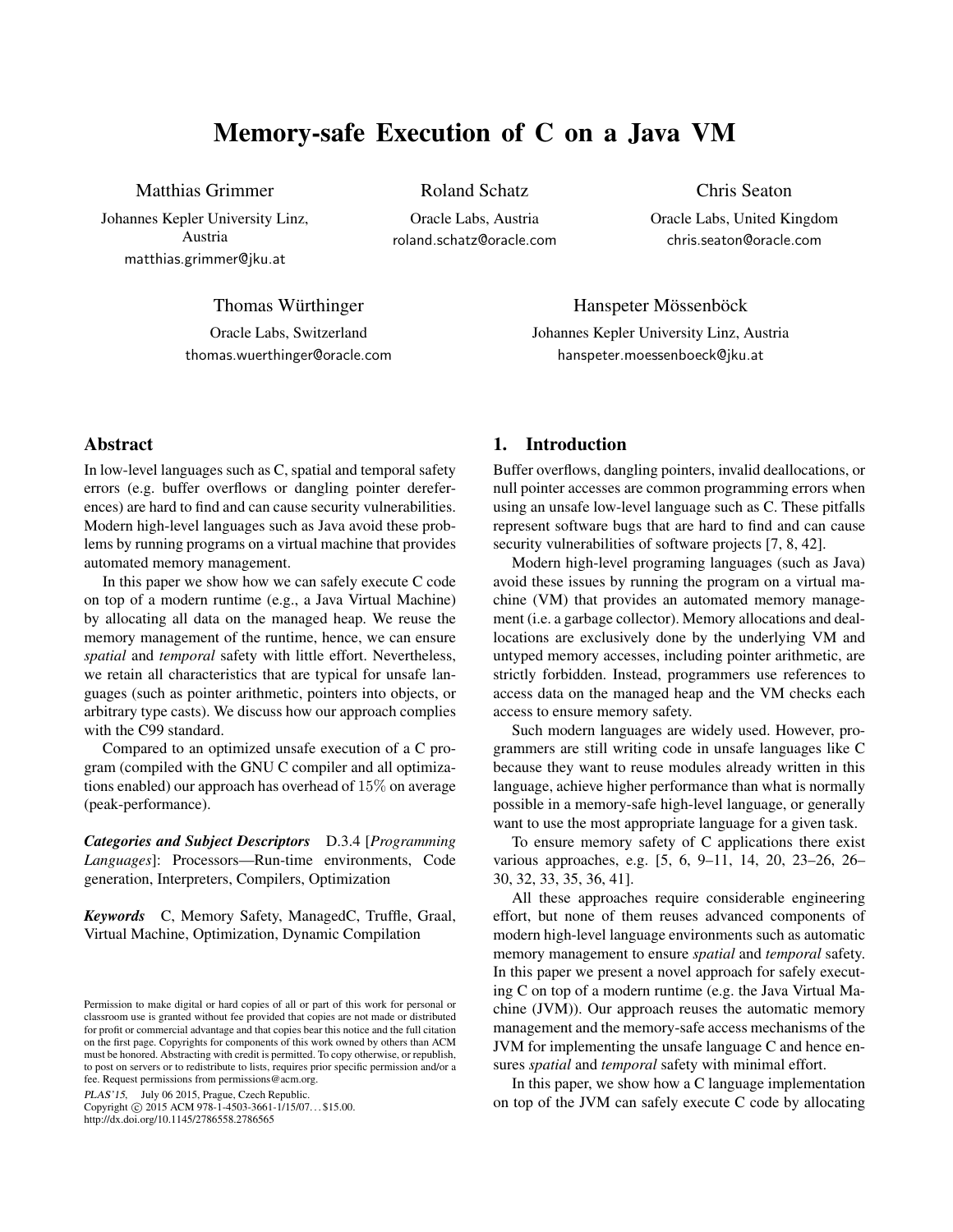# Memory-safe Execution of C on a Java VM

Matthias Grimmer

Johannes Kepler University Linz, Austria matthias.grimmer@jku.at

Roland Schatz

Oracle Labs, Austria roland.schatz@oracle.com

Chris Seaton Oracle Labs, United Kingdom chris.seaton@oracle.com

# Thomas Würthinger

Oracle Labs, Switzerland thomas.wuerthinger@oracle.com

### Hanspeter Mössenböck

Johannes Kepler University Linz, Austria hanspeter.moessenboeck@jku.at

# Abstract

In low-level languages such as C, spatial and temporal safety errors (e.g. buffer overflows or dangling pointer dereferences) are hard to find and can cause security vulnerabilities. Modern high-level languages such as Java avoid these problems by running programs on a virtual machine that provides automated memory management.

In this paper we show how we can safely execute C code on top of a modern runtime (e.g., a Java Virtual Machine) by allocating all data on the managed heap. We reuse the memory management of the runtime, hence, we can ensure *spatial* and *temporal* safety with little effort. Nevertheless, we retain all characteristics that are typical for unsafe languages (such as pointer arithmetic, pointers into objects, or arbitrary type casts). We discuss how our approach complies with the C99 standard.

Compared to an optimized unsafe execution of a C program (compiled with the GNU C compiler and all optimizations enabled) our approach has overhead of 15% on average (peak-performance).

*Categories and Subject Descriptors* D.3.4 [*Programming Languages*]: Processors—Run-time environments, Code generation, Interpreters, Compilers, Optimization

*Keywords* C, Memory Safety, ManagedC, Truffle, Graal, Virtual Machine, Optimization, Dynamic Compilation

PLAS'15, July 06 2015, Prague, Czech Republic.

Copyright © 2015 ACM 978-1-4503-3661-1/15/07... \$15.00. http://dx.doi.org/10.1145/2786558.2786565

# 1. Introduction

Buffer overflows, dangling pointers, invalid deallocations, or null pointer accesses are common programming errors when using an unsafe low-level language such as C. These pitfalls represent software bugs that are hard to find and can cause security vulnerabilities of software projects [\[7,](#page-10-0) [8,](#page-10-1) [42\]](#page-11-0).

Modern high-level programing languages (such as Java) avoid these issues by running the program on a virtual machine (VM) that provides an automated memory management (i.e. a garbage collector). Memory allocations and deallocations are exclusively done by the underlying VM and untyped memory accesses, including pointer arithmetic, are strictly forbidden. Instead, programmers use references to access data on the managed heap and the VM checks each access to ensure memory safety.

Such modern languages are widely used. However, programmers are still writing code in unsafe languages like C because they want to reuse modules already written in this language, achieve higher performance than what is normally possible in a memory-safe high-level language, or generally want to use the most appropriate language for a given task.

To ensure memory safety of C applications there exist various approaches, e.g. [\[5,](#page-10-2) [6,](#page-10-3) [9](#page-10-4)[–11,](#page-10-5) [14,](#page-11-1) [20,](#page-11-2) [23](#page-11-3)[–26,](#page-11-4) [26–](#page-11-4) [30,](#page-11-5) [32,](#page-11-6) [33,](#page-11-7) [35,](#page-11-8) [36,](#page-11-9) [41\]](#page-11-10).

All these approaches require considerable engineering effort, but none of them reuses advanced components of modern high-level language environments such as automatic memory management to ensure *spatial* and *temporal* safety. In this paper we present a novel approach for safely executing C on top of a modern runtime (e.g. the Java Virtual Machine (JVM)). Our approach reuses the automatic memory management and the memory-safe access mechanisms of the JVM for implementing the unsafe language C and hence ensures *spatial* and *temporal* safety with minimal effort.

In this paper, we show how a C language implementation on top of the JVM can safely execute C code by allocating

Permission to make digital or hard copies of all or part of this work for personal or classroom use is granted without fee provided that copies are not made or distributed for profit or commercial advantage and that copies bear this notice and the full citation on the first page. Copyrights for components of this work owned by others than ACM must be honored. Abstracting with credit is permitted. To copy otherwise, or republish, to post on servers or to redistribute to lists, requires prior specific permission and/or a fee. Request permissions from permissions@acm.org.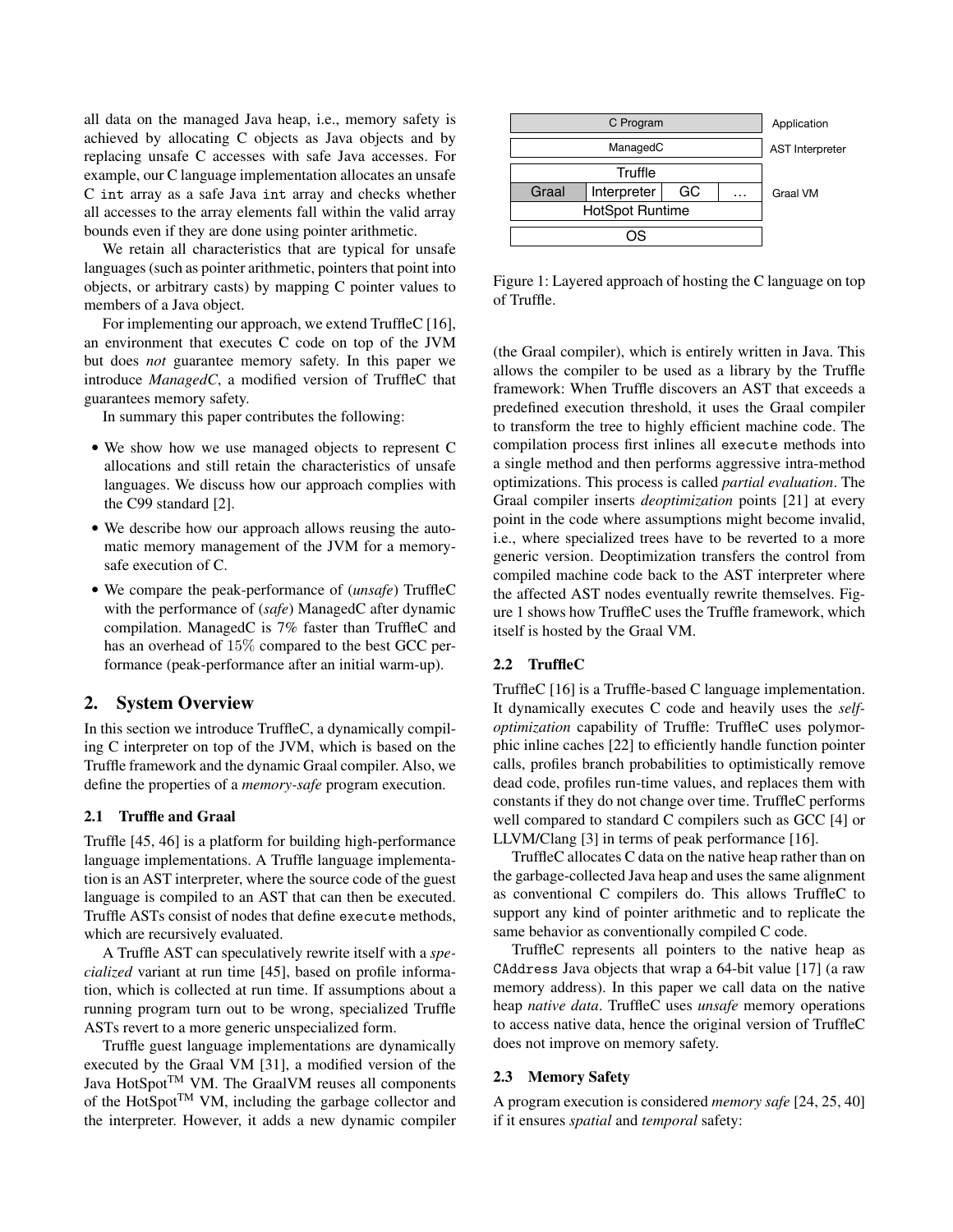all data on the managed Java heap, i.e., memory safety is achieved by allocating C objects as Java objects and by replacing unsafe C accesses with safe Java accesses. For example, our C language implementation allocates an unsafe C int array as a safe Java int array and checks whether all accesses to the array elements fall within the valid array bounds even if they are done using pointer arithmetic.

We retain all characteristics that are typical for unsafe languages (such as pointer arithmetic, pointers that point into objects, or arbitrary casts) by mapping C pointer values to members of a Java object.

For implementing our approach, we extend TruffleC [\[16\]](#page-11-11), an environment that executes C code on top of the JVM but does *not* guarantee memory safety. In this paper we introduce *ManagedC*, a modified version of TruffleC that guarantees memory safety.

In summary this paper contributes the following:

- We show how we use managed objects to represent C allocations and still retain the characteristics of unsafe languages. We discuss how our approach complies with the C99 standard [\[2\]](#page-10-6).
- We describe how our approach allows reusing the automatic memory management of the JVM for a memorysafe execution of C.
- We compare the peak-performance of (*unsafe*) TruffleC with the performance of (*safe*) ManagedC after dynamic compilation. ManagedC is 7% faster than TruffleC and has an overhead of 15% compared to the best GCC performance (peak-performance after an initial warm-up).

# 2. System Overview

In this section we introduce TruffleC, a dynamically compiling C interpreter on top of the JVM, which is based on the Truffle framework and the dynamic Graal compiler. Also, we define the properties of a *memory-safe* program execution.

#### <span id="page-1-1"></span>2.1 Truffle and Graal

Truffle [\[45,](#page-11-12) [46\]](#page-11-13) is a platform for building high-performance language implementations. A Truffle language implementation is an AST interpreter, where the source code of the guest language is compiled to an AST that can then be executed. Truffle ASTs consist of nodes that define execute methods, which are recursively evaluated.

A Truffle AST can speculatively rewrite itself with a *specialized* variant at run time [\[45\]](#page-11-12), based on profile information, which is collected at run time. If assumptions about a running program turn out to be wrong, specialized Truffle ASTs revert to a more generic unspecialized form.

Truffle guest language implementations are dynamically executed by the Graal VM [\[31\]](#page-11-14), a modified version of the Java HotSpot<sup>TM</sup> VM. The GraalVM reuses all components of the HotSpot<sup>TM</sup> VM, including the garbage collector and the interpreter. However, it adds a new dynamic compiler

<span id="page-1-0"></span>

|                        | Application            |    |   |          |
|------------------------|------------------------|----|---|----------|
|                        | <b>AST</b> Interpreter |    |   |          |
|                        |                        |    |   |          |
| Graal                  | Interpreter            | GC | . | Graal VM |
| <b>HotSpot Runtime</b> |                        |    |   |          |
|                        |                        |    |   |          |

Figure 1: Layered approach of hosting the C language on top of Truffle.

(the Graal compiler), which is entirely written in Java. This allows the compiler to be used as a library by the Truffle framework: When Truffle discovers an AST that exceeds a predefined execution threshold, it uses the Graal compiler to transform the tree to highly efficient machine code. The compilation process first inlines all execute methods into a single method and then performs aggressive intra-method optimizations. This process is called *partial evaluation*. The Graal compiler inserts *deoptimization* points [\[21\]](#page-11-15) at every point in the code where assumptions might become invalid, i.e., where specialized trees have to be reverted to a more generic version. Deoptimization transfers the control from compiled machine code back to the AST interpreter where the affected AST nodes eventually rewrite themselves. Figure [1](#page-1-0) shows how TruffleC uses the Truffle framework, which itself is hosted by the Graal VM.

### 2.2 TruffleC

TruffleC [\[16\]](#page-11-11) is a Truffle-based C language implementation. It dynamically executes C code and heavily uses the *selfoptimization* capability of Truffle: TruffleC uses polymorphic inline caches [\[22\]](#page-11-16) to efficiently handle function pointer calls, profiles branch probabilities to optimistically remove dead code, profiles run-time values, and replaces them with constants if they do not change over time. TruffleC performs well compared to standard C compilers such as GCC [\[4\]](#page-10-7) or LLVM/Clang [\[3\]](#page-10-8) in terms of peak performance [\[16\]](#page-11-11).

TruffleC allocates C data on the native heap rather than on the garbage-collected Java heap and uses the same alignment as conventional C compilers do. This allows TruffleC to support any kind of pointer arithmetic and to replicate the same behavior as conventionally compiled C code.

TruffleC represents all pointers to the native heap as CAddress Java objects that wrap a 64-bit value [\[17\]](#page-11-17) (a raw memory address). In this paper we call data on the native heap *native data*. TruffleC uses *unsafe* memory operations to access native data, hence the original version of TruffleC does not improve on memory safety.

#### 2.3 Memory Safety

A program execution is considered *memory safe* [\[24,](#page-11-18) [25,](#page-11-19) [40\]](#page-11-20) if it ensures *spatial* and *temporal* safety: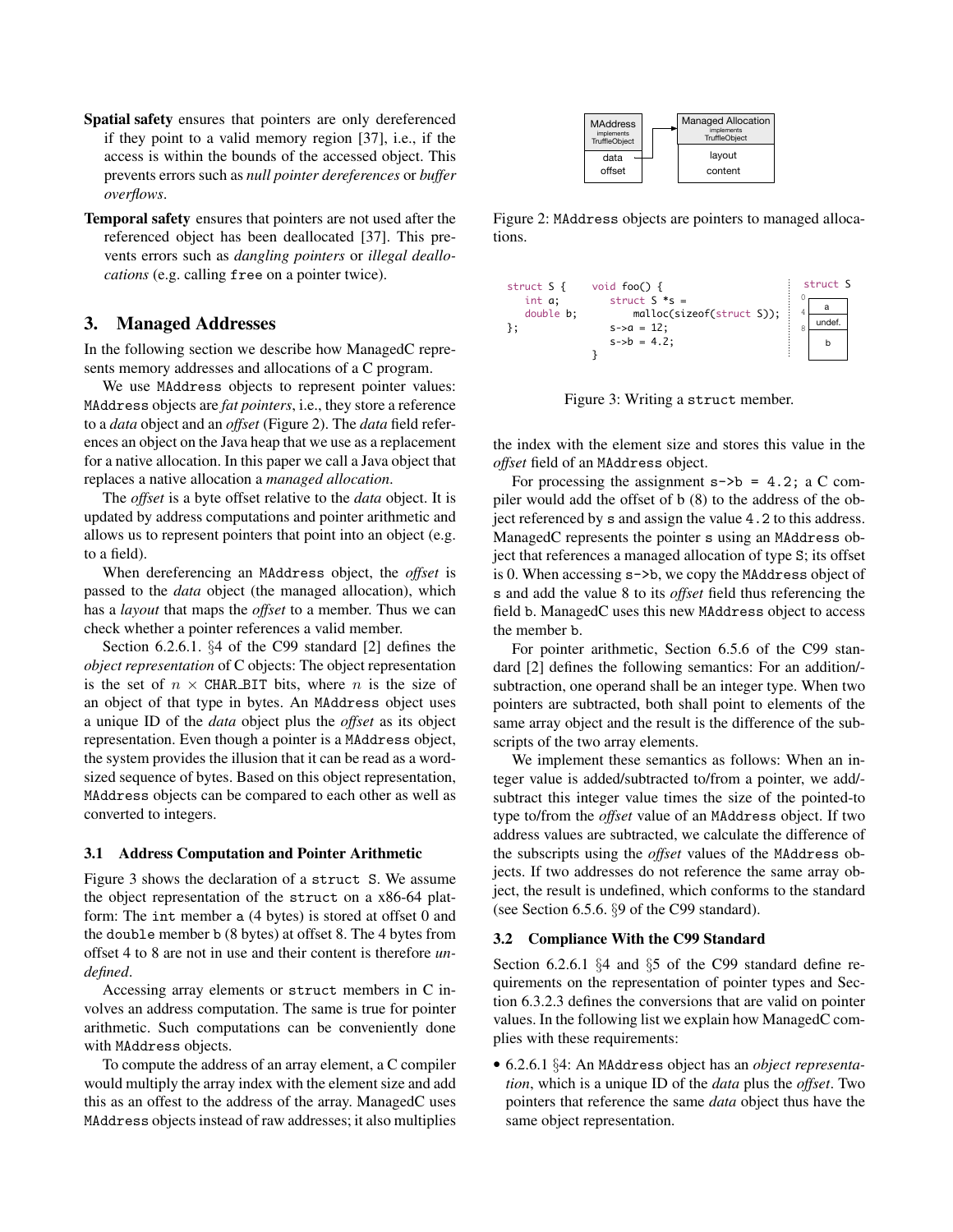- Spatial safety ensures that pointers are only dereferenced if they point to a valid memory region [\[37\]](#page-11-21), i.e., if the access is within the bounds of the accessed object. This prevents errors such as *null pointer dereferences* or *buffer overflows*.
- Temporal safety ensures that pointers are not used after the referenced object has been deallocated [\[37\]](#page-11-21). This prevents errors such as *dangling pointers* or *illegal deallocations* (e.g. calling free on a pointer twice).

# 3. Managed Addresses

In the following section we describe how ManagedC represents memory addresses and allocations of a C program.

We use MAddress objects to represent pointer values: MAddress objects are *fat pointers*, i.e., they store a reference to a *data* object and an *offset* (Figure [2\)](#page-2-0). The *data* field references an object on the Java heap that we use as a replacement for a native allocation. In this paper we call a Java object that replaces a native allocation a *managed allocation*.

The *offset* is a byte offset relative to the *data* object. It is updated by address computations and pointer arithmetic and allows us to represent pointers that point into an object (e.g. to a field).

When dereferencing an MAddress object, the *offset* is passed to the *data* object (the managed allocation), which has a *layout* that maps the *offset* to a member. Thus we can check whether a pointer references a valid member.

Section 6.2.6.1. §4 of the C99 standard [\[2\]](#page-10-6) defines the *object representation* of C objects: The object representation is the set of  $n \times$  CHAR\_BIT bits, where n is the size of an object of that type in bytes. An MAddress object uses a unique ID of the *data* object plus the *offset* as its object representation. Even though a pointer is a MAddress object, the system provides the illusion that it can be read as a wordsized sequence of bytes. Based on this object representation, MAddress objects can be compared to each other as well as converted to integers. if they point to a valid memory region (37). i.e., if the most of raw addresses is within the bounds of the accored object. This is an expected or the system of the system of the core and the most of ray and the most of t

#### <span id="page-2-2"></span>3.1 Address Computation and Pointer Arithmetic

Figure [3](#page-2-1) shows the declaration of a struct S. We assume the object representation of the struct on a x86-64 platform: The int member a (4 bytes) is stored at offset 0 and the double member b (8 bytes) at offset 8. The 4 bytes from offset 4 to 8 are not in use and their content is therefore *undefined*.

Accessing array elements or struct members in C involves an address computation. The same is true for pointer arithmetic. Such computations can be conveniently done with MAddress objects.

To compute the address of an array element, a C compiler would multiply the array index with the element size and add this as an offest to the address of the array. ManagedC uses

<span id="page-2-0"></span>

| <b>MAddress</b><br>implements<br><b>TruffleObject</b> | <b>Managed Allocation</b><br>implements<br>TruffleObject |
|-------------------------------------------------------|----------------------------------------------------------|
| data<br>offset                                        | layout<br>content                                        |

Figure 2: MAddress objects are pointers to managed allocations.

<span id="page-2-1"></span>

Figure 3: Writing a struct member.

the index with the element size and stores this value in the *offset* field of an MAddress object.

For processing the assignment  $s$ ->b = 4.2; a C compiler would add the offset of b (8) to the address of the object referenced by s and assign the value 4.2 to this address. ManagedC represents the pointer s using an MAddress object that references a managed allocation of type S; its offset is 0. When accessing s->b, we copy the MAddress object of s and add the value 8 to its *offset* field thus referencing the field b. ManagedC uses this new MAddress object to access the member b.

For pointer arithmetic, Section 6.5.6 of the C99 standard [\[2\]](#page-10-6) defines the following semantics: For an addition/ subtraction, one operand shall be an integer type. When two pointers are subtracted, both shall point to elements of the same array object and the result is the difference of the subscripts of the two array elements.

We implement these semantics as follows: When an integer value is added/subtracted to/from a pointer, we add/ subtract this integer value times the size of the pointed-to type to/from the *offset* value of an MAddress object. If two address values are subtracted, we calculate the difference of the subscripts using the *offset* values of the MAddress objects. If two addresses do not reference the same array object, the result is undefined, which conforms to the standard (see Section 6.5.6. §9 of the C99 standard).

#### 3.2 Compliance With the C99 Standard

Section 6.2.6.1 §4 and §5 of the C99 standard define requirements on the representation of pointer types and Section 6.3.2.3 defines the conversions that are valid on pointer values. In the following list we explain how ManagedC complies with these requirements:

• 6.2.6.1 §4: An MAddress object has an *object representation*, which is a unique ID of the *data* plus the *offset*. Two pointers that reference the same *data* object thus have the same object representation.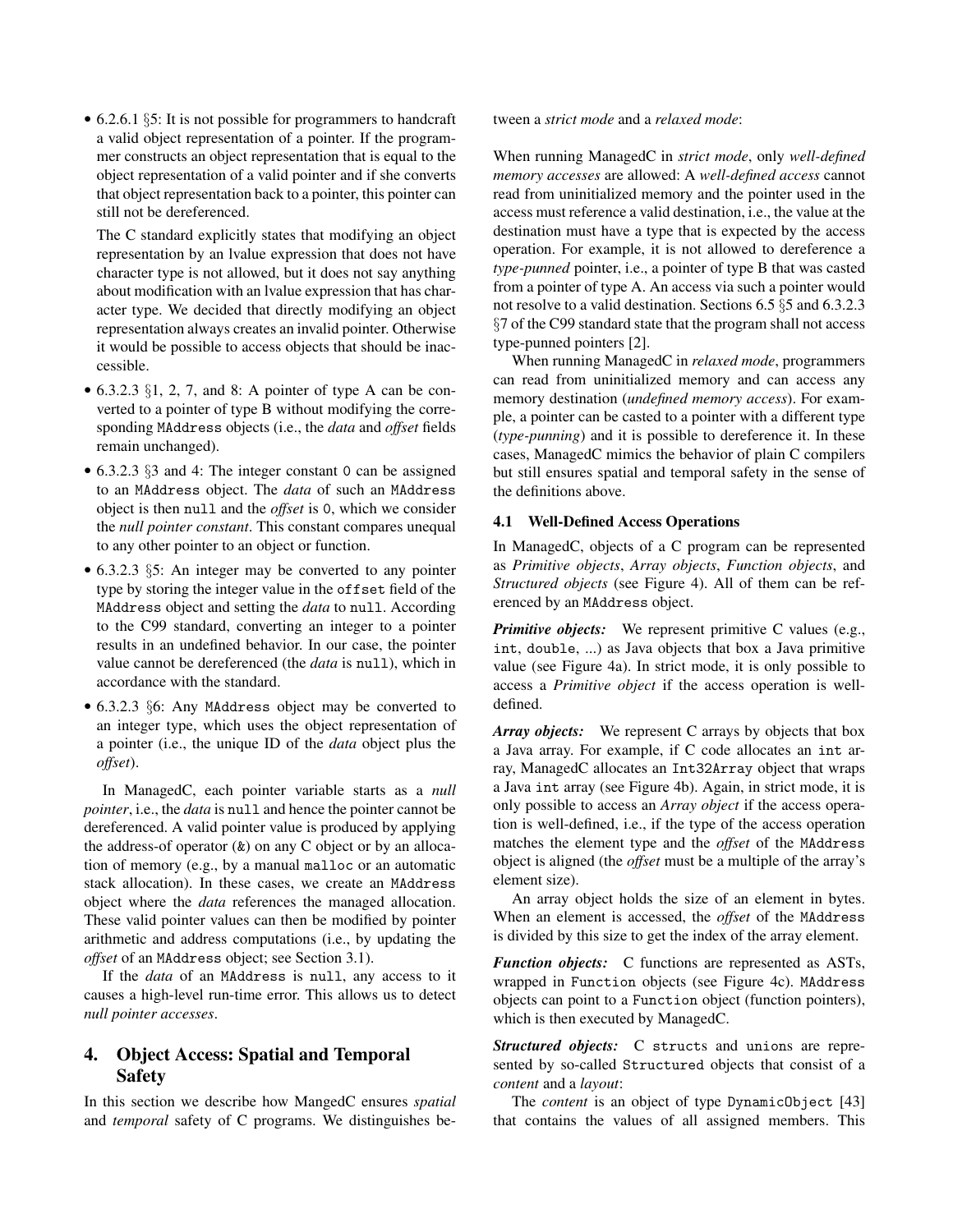• 6.2.6.1 §5: It is not possible for programmers to handcraft a valid object representation of a pointer. If the programmer constructs an object representation that is equal to the object representation of a valid pointer and if she converts that object representation back to a pointer, this pointer can still not be dereferenced.

The C standard explicitly states that modifying an object representation by an lvalue expression that does not have character type is not allowed, but it does not say anything about modification with an lvalue expression that has character type. We decided that directly modifying an object representation always creates an invalid pointer. Otherwise it would be possible to access objects that should be inaccessible.

- $\bullet$  6.3.2.3 §1, 2, 7, and 8: A pointer of type A can be converted to a pointer of type B without modifying the corresponding MAddress objects (i.e., the *data* and *offset* fields remain unchanged).
- 6.3.2.3 §3 and 4: The integer constant 0 can be assigned to an MAddress object. The *data* of such an MAddress object is then null and the *offset* is 0, which we consider the *null pointer constant*. This constant compares unequal to any other pointer to an object or function.
- 6.3.2.3 §5: An integer may be converted to any pointer type by storing the integer value in the offset field of the MAddress object and setting the *data* to null. According to the C99 standard, converting an integer to a pointer results in an undefined behavior. In our case, the pointer value cannot be dereferenced (the *data* is null), which in accordance with the standard.
- 6.3.2.3 §6: Any MAddress object may be converted to an integer type, which uses the object representation of a pointer (i.e., the unique ID of the *data* object plus the *offset*).

In ManagedC, each pointer variable starts as a *null pointer*, i.e., the *data* is null and hence the pointer cannot be dereferenced. A valid pointer value is produced by applying the address-of operator (&) on any C object or by an allocation of memory (e.g., by a manual malloc or an automatic stack allocation). In these cases, we create an MAddress object where the *data* references the managed allocation. These valid pointer values can then be modified by pointer arithmetic and address computations (i.e., by updating the *offset* of an MAddress object; see Section [3.1\)](#page-2-2).

If the *data* of an MAddress is null, any access to it causes a high-level run-time error. This allows us to detect *null pointer accesses*.

# 4. Object Access: Spatial and Temporal Safety

In this section we describe how MangedC ensures *spatial* and *temporal* safety of C programs. We distinguishes between a *strict mode* and a *relaxed mode*:

When running ManagedC in *strict mode*, only *well-defined memory accesses* are allowed: A *well-defined access* cannot read from uninitialized memory and the pointer used in the access must reference a valid destination, i.e., the value at the destination must have a type that is expected by the access operation. For example, it is not allowed to dereference a *type-punned* pointer, i.e., a pointer of type B that was casted from a pointer of type A. An access via such a pointer would not resolve to a valid destination. Sections 6.5 §5 and 6.3.2.3 §7 of the C99 standard state that the program shall not access type-punned pointers [\[2\]](#page-10-6).

When running ManagedC in *relaxed mode*, programmers can read from uninitialized memory and can access any memory destination (*undefined memory access*). For example, a pointer can be casted to a pointer with a different type (*type-punning*) and it is possible to dereference it. In these cases, ManagedC mimics the behavior of plain C compilers but still ensures spatial and temporal safety in the sense of the definitions above.

#### <span id="page-3-0"></span>4.1 Well-Defined Access Operations

In ManagedC, objects of a C program can be represented as *Primitive objects*, *Array objects*, *Function objects*, and *Structured objects* (see Figure [4\)](#page-4-0). All of them can be referenced by an MAddress object.

*Primitive objects:* We represent primitive C values (e.g., int, double, ...) as Java objects that box a Java primitive value (see Figure [4a\)](#page-4-0). In strict mode, it is only possible to access a *Primitive object* if the access operation is welldefined.

*Array objects:* We represent C arrays by objects that box a Java array. For example, if C code allocates an int array, ManagedC allocates an Int32Array object that wraps a Java int array (see Figure [4b\)](#page-4-0). Again, in strict mode, it is only possible to access an *Array object* if the access operation is well-defined, i.e., if the type of the access operation matches the element type and the *offset* of the MAddress object is aligned (the *offset* must be a multiple of the array's element size).

An array object holds the size of an element in bytes. When an element is accessed, the *offset* of the MAddress is divided by this size to get the index of the array element.

*Function objects:* C functions are represented as ASTs, wrapped in Function objects (see Figure [4c\)](#page-4-0). MAddress objects can point to a Function object (function pointers), which is then executed by ManagedC.

*Structured objects:* C structs and unions are represented by so-called Structured objects that consist of a *content* and a *layout*:

The *content* is an object of type DynamicObject [\[43\]](#page-11-22) that contains the values of all assigned members. This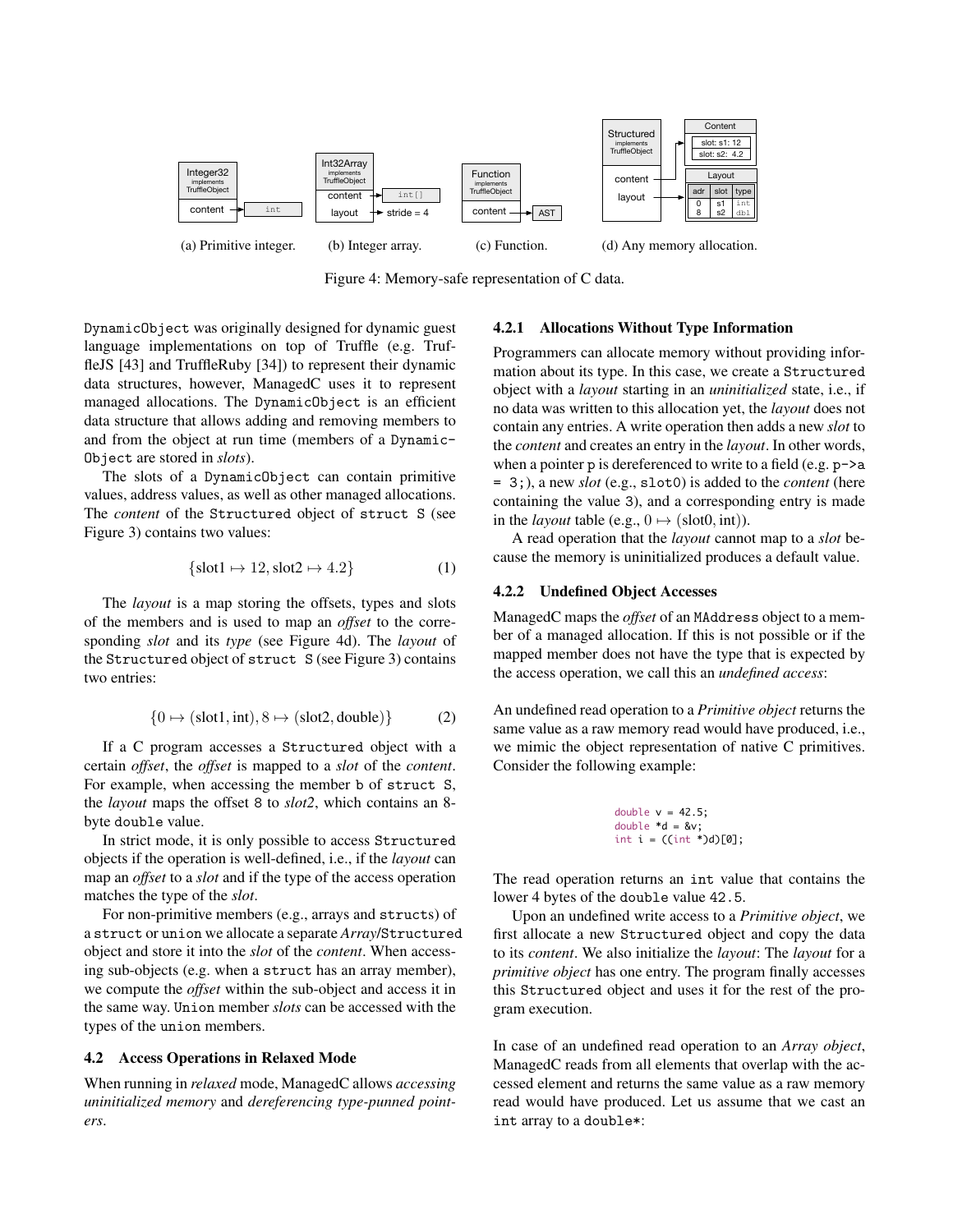<span id="page-4-0"></span>

Figure 4: Memory-safe representation of C data.

DynamicObject was originally designed for dynamic guest language implementations on top of Truffle (e.g. TruffleJS [\[43\]](#page-11-22) and TruffleRuby [\[34\]](#page-11-23)) to represent their dynamic data structures, however, ManagedC uses it to represent managed allocations. The DynamicObject is an efficient data structure that allows adding and removing members to and from the object at run time (members of a Dynamic-Object are stored in *slots*).

The slots of a DynamicObject can contain primitive values, address values, as well as other managed allocations. The *content* of the Structured object of struct S (see Figure [3\)](#page-2-1) contains two values:

$$
{\{slot1 \mapsto 12, slot2 \mapsto 4.2\}} \tag{1}
$$

The *layout* is a map storing the offsets, types and slots of the members and is used to map an *offset* to the corresponding *slot* and its *type* (see Figure [4d\)](#page-4-0). The *layout* of the Structured object of struct S (see Figure [3\)](#page-2-1) contains two entries:

$$
\{0 \mapsto (\text{slot1}, \text{int}), 8 \mapsto (\text{slot2}, \text{double})\}\tag{2}
$$

If a C program accesses a Structured object with a certain *offset*, the *offset* is mapped to a *slot* of the *content*. For example, when accessing the member b of struct S, the *layout* maps the offset 8 to *slot2*, which contains an 8 byte double value.

In strict mode, it is only possible to access Structured objects if the operation is well-defined, i.e., if the *layout* can map an *offset* to a *slot* and if the type of the access operation matches the type of the *slot*.

For non-primitive members (e.g., arrays and structs) of a struct or union we allocate a separate *Array*/Structured object and store it into the *slot* of the *content*. When accessing sub-objects (e.g. when a struct has an array member), we compute the *offset* within the sub-object and access it in the same way. Union member *slots* can be accessed with the types of the union members.

#### 4.2 Access Operations in Relaxed Mode

When running in *relaxed* mode, ManagedC allows *accessing uninitialized memory* and *dereferencing type-punned pointers*.

#### 4.2.1 Allocations Without Type Information

Programmers can allocate memory without providing information about its type. In this case, we create a Structured object with a *layout* starting in an *uninitialized* state, i.e., if no data was written to this allocation yet, the *layout* does not contain any entries. A write operation then adds a new *slot* to the *content* and creates an entry in the *layout*. In other words, when a pointer p is dereferenced to write to a field (e.g.  $p-\geq a$ ) = 3;), a new *slot* (e.g., slot0) is added to the *content* (here containing the value 3), and a corresponding entry is made in the *layout* table (e.g.,  $0 \mapsto (slot0, int)$ ).

A read operation that the *layout* cannot map to a *slot* because the memory is uninitialized produces a default value.

#### 4.2.2 Undefined Object Accesses

ManagedC maps the *offset* of an MAddress object to a member of a managed allocation. If this is not possible or if the mapped member does not have the type that is expected by the access operation, we call this an *undefined access*:

An undefined read operation to a *Primitive object* returns the same value as a raw memory read would have produced, i.e., we mimic the object representation of native C primitives. Consider the following example:

double v = 42.5; double \*d = &v; int i = ((int \*)d)[0];

The read operation returns an int value that contains the lower 4 bytes of the double value 42.5.

Upon an undefined write access to a *Primitive object*, we first allocate a new Structured object and copy the data to its *content*. We also initialize the *layout*: The *layout* for a *primitive object* has one entry. The program finally accesses this Structured object and uses it for the rest of the program execution.

In case of an undefined read operation to an *Array object*, ManagedC reads from all elements that overlap with the accessed element and returns the same value as a raw memory read would have produced. Let us assume that we cast an int array to a double\*: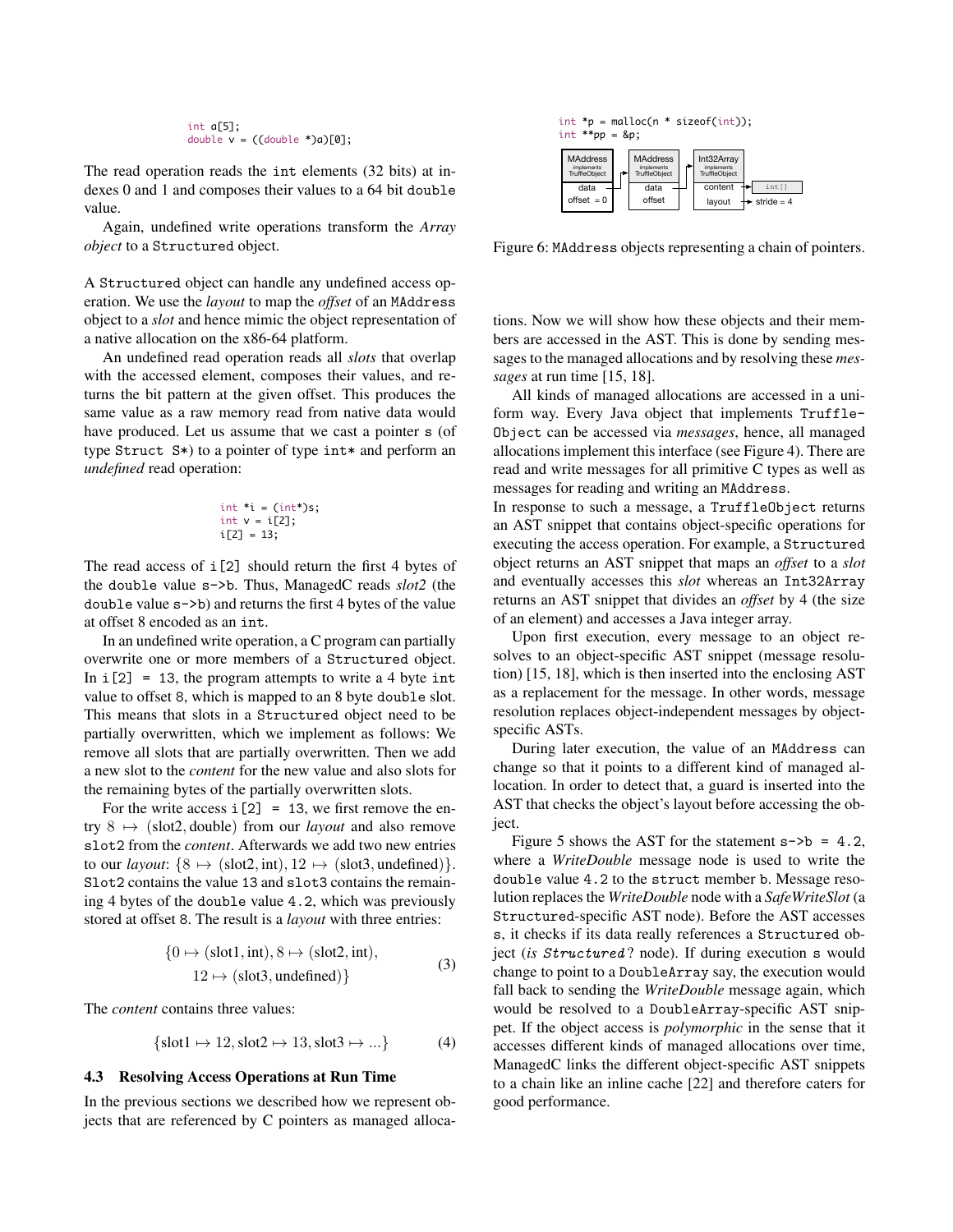```
int a[5];
double v = ((double * )a)[0];
```
The read operation reads the int elements (32 bits) at indexes 0 and 1 and composes their values to a 64 bit double value.

Again, undefined write operations transform the *Array object* to a Structured object.

A Structured object can handle any undefined access operation. We use the *layout* to map the *offset* of an MAddress object to a *slot* and hence mimic the object representation of a native allocation on the x86-64 platform.

An undefined read operation reads all *slots* that overlap with the accessed element, composes their values, and returns the bit pattern at the given offset. This produces the same value as a raw memory read from native data would have produced. Let us assume that we cast a pointer s (of type Struct S\*) to a pointer of type int\* and perform an *undefined* read operation:

$$
int *i = (int*)s;
$$
  
int v = i[2];  
i[2] = 13;

The read access of i[2] should return the first 4 bytes of the double value s->b. Thus, ManagedC reads *slot2* (the double value s->b) and returns the first 4 bytes of the value at offset 8 encoded as an int.

In an undefined write operation, a C program can partially overwrite one or more members of a Structured object. In  $i[2] = 13$ , the program attempts to write a 4 byte int value to offset 8, which is mapped to an 8 byte double slot. This means that slots in a Structured object need to be partially overwritten, which we implement as follows: We remove all slots that are partially overwritten. Then we add a new slot to the *content* for the new value and also slots for the remaining bytes of the partially overwritten slots.

For the write access  $i[2] = 13$ , we first remove the entry  $8 \mapsto$  (slot2, double) from our *layout* and also remove slot2 from the *content*. Afterwards we add two new entries to our *layout*:  $\{8 \mapsto (\text{slot2}, \text{int}), 12 \mapsto (\text{slot3}, \text{undefined})\}.$ Slot2 contains the value 13 and slot3 contains the remaining 4 bytes of the double value 4.2, which was previously stored at offset 8. The result is a *layout* with three entries:

$$
\{0 \mapsto (\text{slot1}, \text{int}), 8 \mapsto (\text{slot2}, \text{int}),12 \mapsto (\text{slot3}, \text{undefined})\}\
$$
 (3)

The *content* contains three values:

$$
\{slot1 \mapsto 12, slot2 \mapsto 13, slot3 \mapsto \dots \}
$$
 (4)

#### <span id="page-5-0"></span>4.3 Resolving Access Operations at Run Time

In the previous sections we described how we represent objects that are referenced by C pointers as managed alloca-



data offset

data  $offset = 0$ 

Figure 6: MAddress objects representing a chain of pointers.

content layout

int[]  $\blacktriangleright$  stride = 4

tions. Now we will show how these objects and their members are accessed in the AST. This is done by sending messages to the managed allocations and by resolving these *messages* at run time [\[15,](#page-11-24) [18\]](#page-11-25).

All kinds of managed allocations are accessed in a uniform way. Every Java object that implements Truffle-Object can be accessed via *messages*, hence, all managed allocations implement this interface (see Figure [4\)](#page-4-0). There are read and write messages for all primitive C types as well as messages for reading and writing an MAddress.

In response to such a message, a TruffleObject returns an AST snippet that contains object-specific operations for executing the access operation. For example, a Structured object returns an AST snippet that maps an *offset* to a *slot* and eventually accesses this *slot* whereas an Int32Array returns an AST snippet that divides an *offset* by 4 (the size of an element) and accesses a Java integer array.

Upon first execution, every message to an object resolves to an object-specific AST snippet (message resolution) [\[15,](#page-11-24) [18\]](#page-11-25), which is then inserted into the enclosing AST as a replacement for the message. In other words, message resolution replaces object-independent messages by objectspecific ASTs.

During later execution, the value of an MAddress can change so that it points to a different kind of managed allocation. In order to detect that, a guard is inserted into the AST that checks the object's layout before accessing the object.

Figure [5](#page-6-0) shows the AST for the statement  $s$ ->b = 4.2, where a *WriteDouble* message node is used to write the double value 4.2 to the struct member b. Message resolution replaces the *WriteDouble* node with a *SafeWriteSlot* (a Structured-specific AST node). Before the AST accesses s, it checks if its data really references a Structured object (*is* Structured ? node). If during execution s would change to point to a DoubleArray say, the execution would fall back to sending the *WriteDouble* message again, which would be resolved to a DoubleArray-specific AST snippet. If the object access is *polymorphic* in the sense that it accesses different kinds of managed allocations over time, ManagedC links the different object-specific AST snippets to a chain like an inline cache [\[22\]](#page-11-16) and therefore caters for good performance.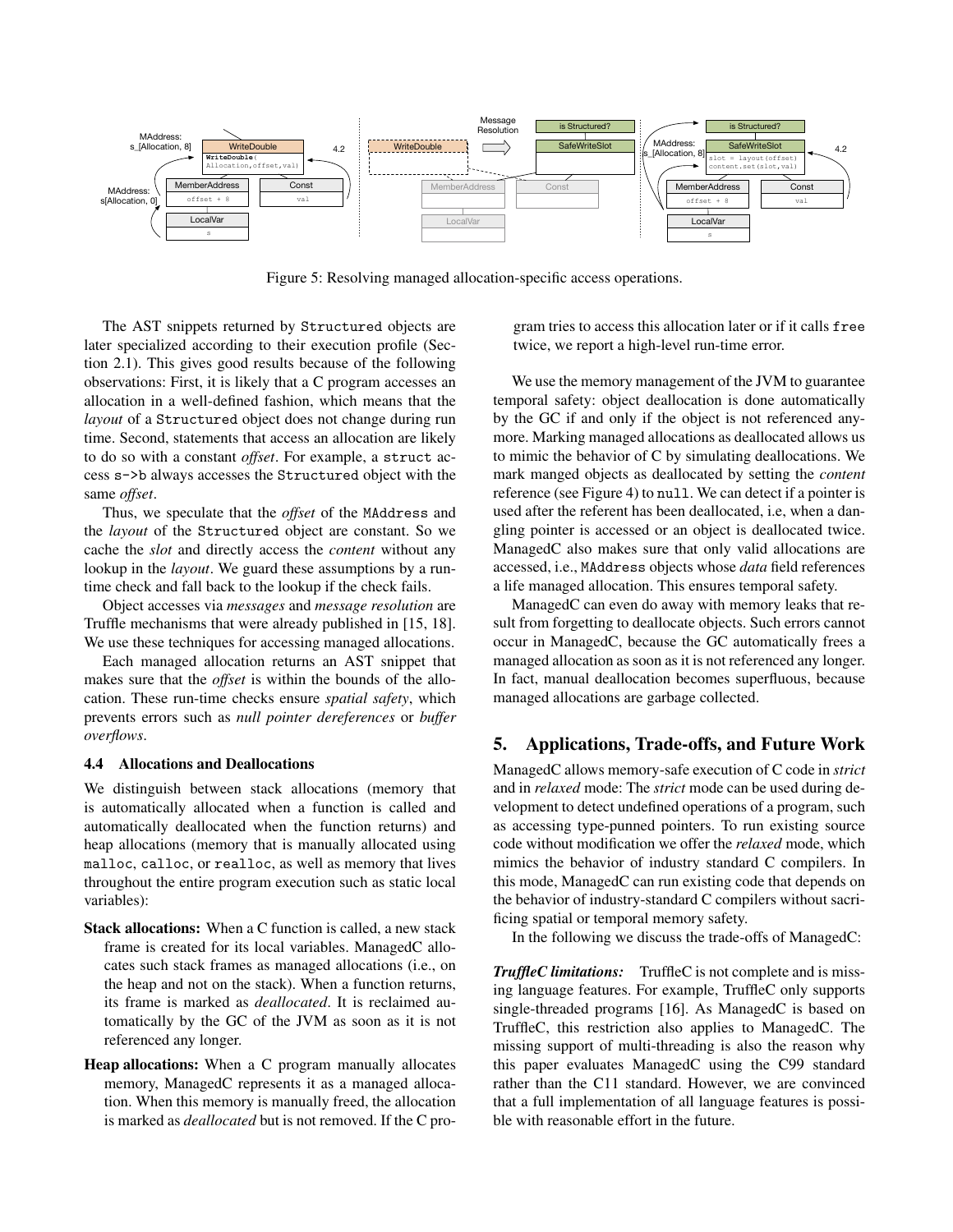<span id="page-6-0"></span>

Figure 5: Resolving managed allocation-specific access operations.

The AST snippets returned by Structured objects are later specialized according to their execution profile (Section [2.1\)](#page-1-1). This gives good results because of the following observations: First, it is likely that a C program accesses an allocation in a well-defined fashion, which means that the *layout* of a Structured object does not change during run time. Second, statements that access an allocation are likely to do so with a constant *offset*. For example, a struct access s->b always accesses the Structured object with the same *offset*.

Thus, we speculate that the *offset* of the MAddress and the *layout* of the Structured object are constant. So we cache the *slot* and directly access the *content* without any lookup in the *layout*. We guard these assumptions by a runtime check and fall back to the lookup if the check fails.

Object accesses via *messages* and *message resolution* are Truffle mechanisms that were already published in [\[15,](#page-11-24) [18\]](#page-11-25). We use these techniques for accessing managed allocations.

Each managed allocation returns an AST snippet that makes sure that the *offset* is within the bounds of the allocation. These run-time checks ensure *spatial safety*, which prevents errors such as *null pointer dereferences* or *buffer overflows*.

#### <span id="page-6-2"></span>4.4 Allocations and Deallocations

We distinguish between stack allocations (memory that is automatically allocated when a function is called and automatically deallocated when the function returns) and heap allocations (memory that is manually allocated using malloc, calloc, or realloc, as well as memory that lives throughout the entire program execution such as static local variables):

- Stack allocations: When a C function is called, a new stack frame is created for its local variables. ManagedC allocates such stack frames as managed allocations (i.e., on the heap and not on the stack). When a function returns, its frame is marked as *deallocated*. It is reclaimed automatically by the GC of the JVM as soon as it is not referenced any longer.
- Heap allocations: When a C program manually allocates memory, ManagedC represents it as a managed allocation. When this memory is manually freed, the allocation is marked as *deallocated* but is not removed. If the C pro-

gram tries to access this allocation later or if it calls free twice, we report a high-level run-time error.

We use the memory management of the JVM to guarantee temporal safety: object deallocation is done automatically by the GC if and only if the object is not referenced anymore. Marking managed allocations as deallocated allows us to mimic the behavior of C by simulating deallocations. We mark manged objects as deallocated by setting the *content* reference (see Figure [4\)](#page-4-0) to null. We can detect if a pointer is used after the referent has been deallocated, i.e, when a dangling pointer is accessed or an object is deallocated twice. ManagedC also makes sure that only valid allocations are accessed, i.e., MAddress objects whose *data* field references a life managed allocation. This ensures temporal safety.

ManagedC can even do away with memory leaks that result from forgetting to deallocate objects. Such errors cannot occur in ManagedC, because the GC automatically frees a managed allocation as soon as it is not referenced any longer. In fact, manual deallocation becomes superfluous, because managed allocations are garbage collected.

# <span id="page-6-1"></span>5. Applications, Trade-offs, and Future Work

ManagedC allows memory-safe execution of C code in *strict* and in *relaxed* mode: The *strict* mode can be used during development to detect undefined operations of a program, such as accessing type-punned pointers. To run existing source code without modification we offer the *relaxed* mode, which mimics the behavior of industry standard C compilers. In this mode, ManagedC can run existing code that depends on the behavior of industry-standard C compilers without sacrificing spatial or temporal memory safety.

In the following we discuss the trade-offs of ManagedC:

*TruffleC limitations:* TruffleC is not complete and is missing language features. For example, TruffleC only supports single-threaded programs [\[16\]](#page-11-11). As ManagedC is based on TruffleC, this restriction also applies to ManagedC. The missing support of multi-threading is also the reason why this paper evaluates ManagedC using the C99 standard rather than the C11 standard. However, we are convinced that a full implementation of all language features is possible with reasonable effort in the future.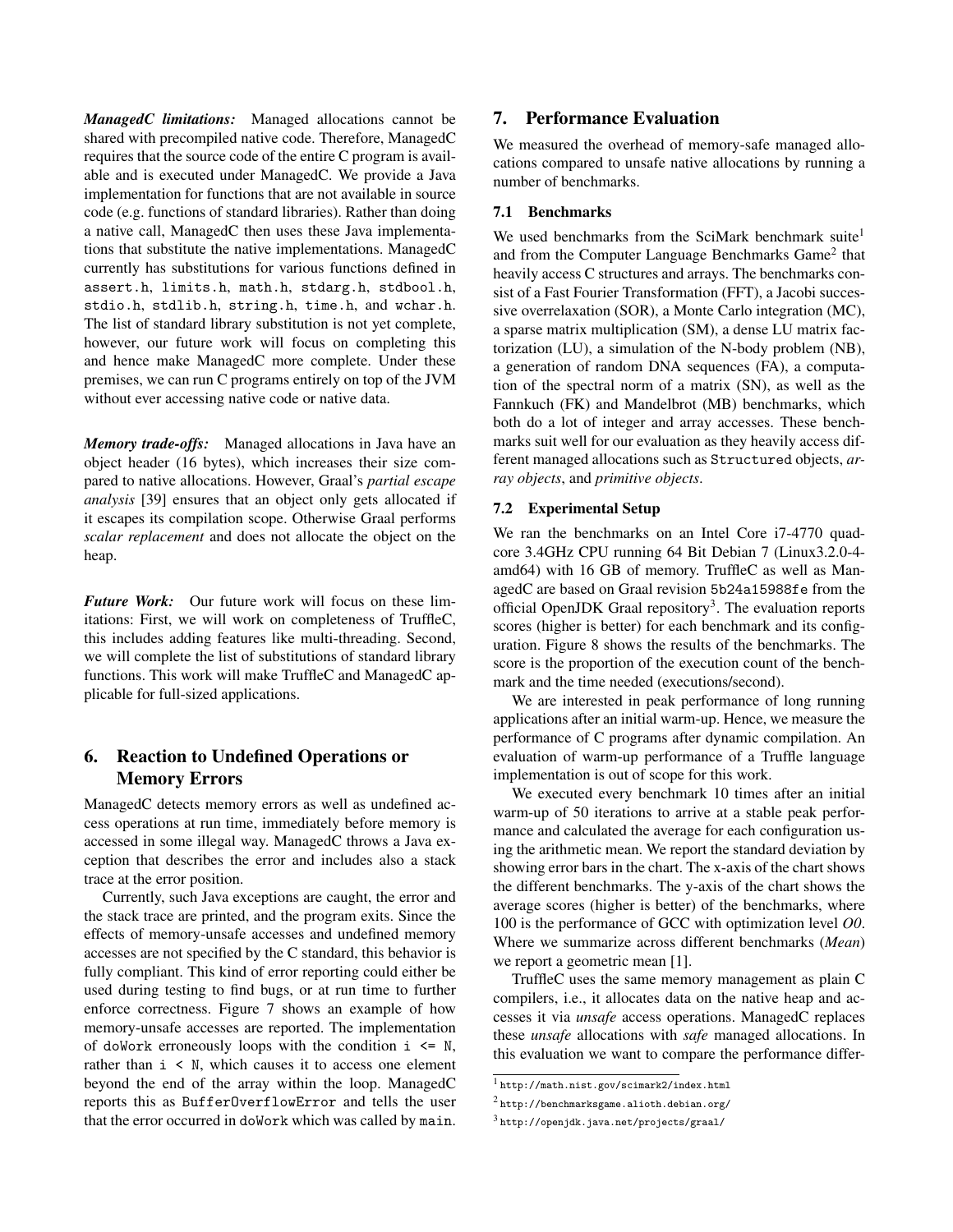*ManagedC limitations:* Managed allocations cannot be shared with precompiled native code. Therefore, ManagedC requires that the source code of the entire C program is available and is executed under ManagedC. We provide a Java implementation for functions that are not available in source code (e.g. functions of standard libraries). Rather than doing a native call, ManagedC then uses these Java implementations that substitute the native implementations. ManagedC currently has substitutions for various functions defined in assert.h, limits.h, math.h, stdarg.h, stdbool.h, stdio.h, stdlib.h, string.h, time.h, and wchar.h. The list of standard library substitution is not yet complete, however, our future work will focus on completing this and hence make ManagedC more complete. Under these premises, we can run C programs entirely on top of the JVM without ever accessing native code or native data.

*Memory trade-offs:* Managed allocations in Java have an object header (16 bytes), which increases their size compared to native allocations. However, Graal's *partial escape analysis* [\[39\]](#page-11-26) ensures that an object only gets allocated if it escapes its compilation scope. Otherwise Graal performs *scalar replacement* and does not allocate the object on the heap.

*Future Work:* Our future work will focus on these limitations: First, we will work on completeness of TruffleC, this includes adding features like multi-threading. Second, we will complete the list of substitutions of standard library functions. This work will make TruffleC and ManagedC applicable for full-sized applications.

# 6. Reaction to Undefined Operations or Memory Errors

ManagedC detects memory errors as well as undefined access operations at run time, immediately before memory is accessed in some illegal way. ManagedC throws a Java exception that describes the error and includes also a stack trace at the error position.

Currently, such Java exceptions are caught, the error and the stack trace are printed, and the program exits. Since the effects of memory-unsafe accesses and undefined memory accesses are not specified by the C standard, this behavior is fully compliant. This kind of error reporting could either be used during testing to find bugs, or at run time to further enforce correctness. Figure [7](#page-8-0) shows an example of how memory-unsafe accesses are reported. The implementation of doWork erroneously loops with the condition  $i \leq N$ , rather than  $i \leq N$ , which causes it to access one element beyond the end of the array within the loop. ManagedC reports this as BufferOverflowError and tells the user that the error occurred in doWork which was called by main.

# 7. Performance Evaluation

We measured the overhead of memory-safe managed allocations compared to unsafe native allocations by running a number of benchmarks.

#### 7.1 Benchmarks

We used benchmarks from the SciMark benchmark suite<sup>[1](#page-7-0)</sup> and from the Computer Language Benchmarks Game<sup>[2](#page-7-1)</sup> that heavily access C structures and arrays. The benchmarks consist of a Fast Fourier Transformation (FFT), a Jacobi successive overrelaxation (SOR), a Monte Carlo integration (MC), a sparse matrix multiplication (SM), a dense LU matrix factorization (LU), a simulation of the N-body problem (NB), a generation of random DNA sequences (FA), a computation of the spectral norm of a matrix (SN), as well as the Fannkuch (FK) and Mandelbrot (MB) benchmarks, which both do a lot of integer and array accesses. These benchmarks suit well for our evaluation as they heavily access different managed allocations such as Structured objects, *array objects*, and *primitive objects*.

#### 7.2 Experimental Setup

We ran the benchmarks on an Intel Core i7-4770 quadcore 3.4GHz CPU running 64 Bit Debian 7 (Linux3.2.0-4 amd64) with 16 GB of memory. TruffleC as well as ManagedC are based on Graal revision 5b24a15988fe from the official OpenJDK Graal repository<sup>[3](#page-7-2)</sup>. The evaluation reports scores (higher is better) for each benchmark and its configuration. Figure [8](#page-9-0) shows the results of the benchmarks. The score is the proportion of the execution count of the benchmark and the time needed (executions/second).

We are interested in peak performance of long running applications after an initial warm-up. Hence, we measure the performance of C programs after dynamic compilation. An evaluation of warm-up performance of a Truffle language implementation is out of scope for this work.

We executed every benchmark 10 times after an initial warm-up of 50 iterations to arrive at a stable peak performance and calculated the average for each configuration using the arithmetic mean. We report the standard deviation by showing error bars in the chart. The x-axis of the chart shows the different benchmarks. The y-axis of the chart shows the average scores (higher is better) of the benchmarks, where 100 is the performance of GCC with optimization level *O0*. Where we summarize across different benchmarks (*Mean*) we report a geometric mean [\[1\]](#page-10-9).

TruffleC uses the same memory management as plain C compilers, i.e., it allocates data on the native heap and accesses it via *unsafe* access operations. ManagedC replaces these *unsafe* allocations with *safe* managed allocations. In this evaluation we want to compare the performance differ-

<span id="page-7-0"></span><sup>1</sup> <http://math.nist.gov/scimark2/index.html>

<span id="page-7-1"></span> $^2$ <http://benchmarksgame.alioth.debian.org/>

<span id="page-7-2"></span> $^3$ <http://openjdk.java.net/projects/graal/>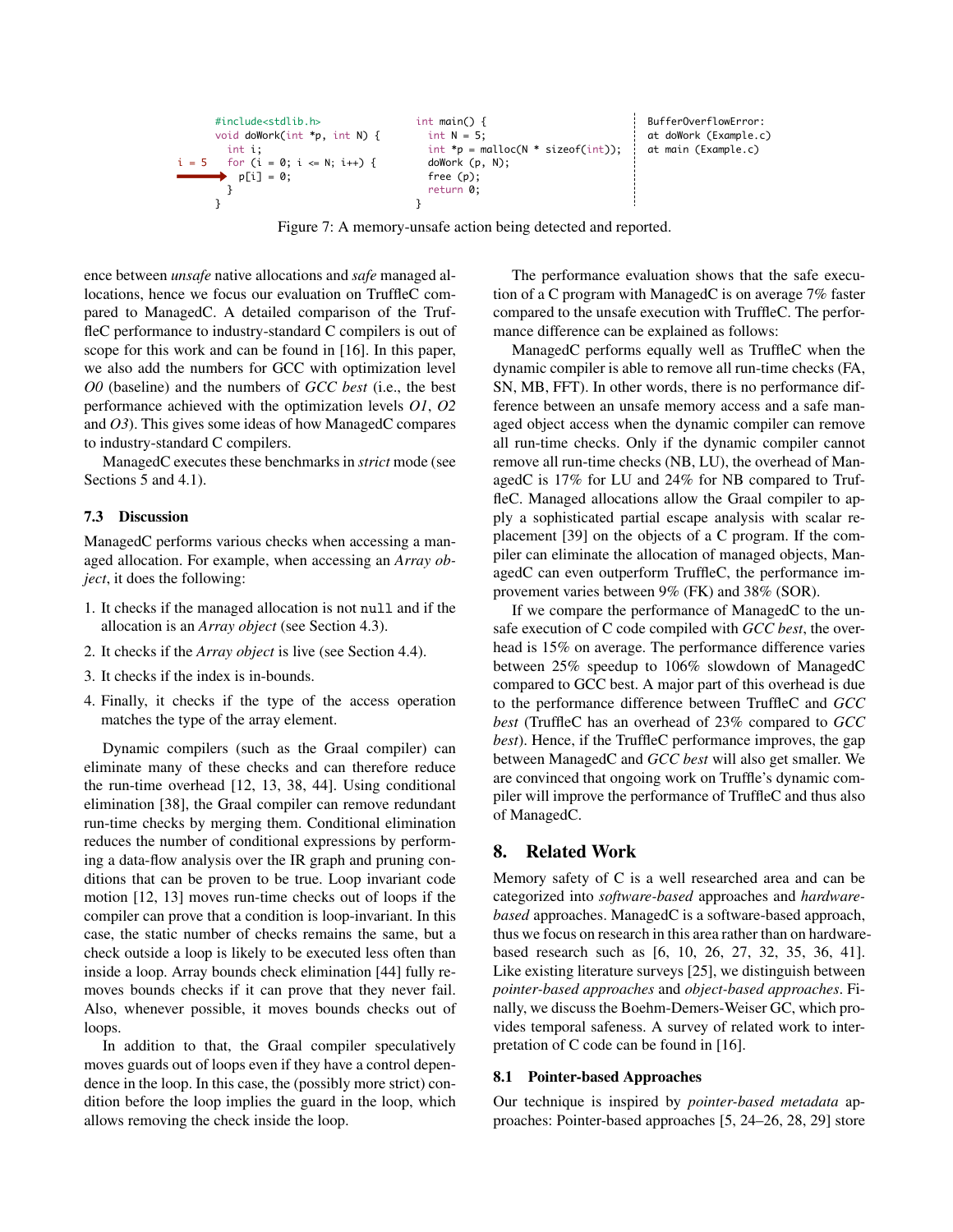<span id="page-8-0"></span>

Figure 7: A memory-unsafe action being detected and reported.

ence between *unsafe* native allocations and *safe* managed allocations, hence we focus our evaluation on TruffleC compared to ManagedC. A detailed comparison of the TruffleC performance to industry-standard C compilers is out of scope for this work and can be found in [\[16\]](#page-11-11). In this paper, we also add the numbers for GCC with optimization level *O0* (baseline) and the numbers of *GCC best* (i.e., the best performance achieved with the optimization levels *O1*, *O2* and *O3*). This gives some ideas of how ManagedC compares to industry-standard C compilers.

ManagedC executes these benchmarks in *strict* mode (see Sections [5](#page-6-1) and [4.1\)](#page-3-0).

### 7.3 Discussion

ManagedC performs various checks when accessing a managed allocation. For example, when accessing an *Array object*, it does the following:

- 1. It checks if the managed allocation is not null and if the allocation is an *Array object* (see Section [4.3\)](#page-5-0).
- 2. It checks if the *Array object* is live (see Section [4.4\)](#page-6-2).
- 3. It checks if the index is in-bounds.
- 4. Finally, it checks if the type of the access operation matches the type of the array element.

Dynamic compilers (such as the Graal compiler) can eliminate many of these checks and can therefore reduce the run-time overhead [\[12,](#page-10-10) [13,](#page-10-11) [38,](#page-11-27) [44\]](#page-11-28). Using conditional elimination [\[38\]](#page-11-27), the Graal compiler can remove redundant run-time checks by merging them. Conditional elimination reduces the number of conditional expressions by performing a data-flow analysis over the IR graph and pruning conditions that can be proven to be true. Loop invariant code motion [\[12,](#page-10-10) [13\]](#page-10-11) moves run-time checks out of loops if the compiler can prove that a condition is loop-invariant. In this case, the static number of checks remains the same, but a check outside a loop is likely to be executed less often than inside a loop. Array bounds check elimination [\[44\]](#page-11-28) fully removes bounds checks if it can prove that they never fail. Also, whenever possible, it moves bounds checks out of loops.

In addition to that, the Graal compiler speculatively moves guards out of loops even if they have a control dependence in the loop. In this case, the (possibly more strict) condition before the loop implies the guard in the loop, which allows removing the check inside the loop.

The performance evaluation shows that the safe execution of a C program with ManagedC is on average 7% faster compared to the unsafe execution with TruffleC. The performance difference can be explained as follows:

ManagedC performs equally well as TruffleC when the dynamic compiler is able to remove all run-time checks (FA, SN, MB, FFT). In other words, there is no performance difference between an unsafe memory access and a safe managed object access when the dynamic compiler can remove all run-time checks. Only if the dynamic compiler cannot remove all run-time checks (NB, LU), the overhead of ManagedC is 17% for LU and 24% for NB compared to TruffleC. Managed allocations allow the Graal compiler to apply a sophisticated partial escape analysis with scalar replacement [\[39\]](#page-11-26) on the objects of a C program. If the compiler can eliminate the allocation of managed objects, ManagedC can even outperform TruffleC, the performance improvement varies between 9% (FK) and 38% (SOR).

If we compare the performance of ManagedC to the unsafe execution of C code compiled with *GCC best*, the overhead is 15% on average. The performance difference varies between 25% speedup to 106% slowdown of ManagedC compared to GCC best. A major part of this overhead is due to the performance difference between TruffleC and *GCC best* (TruffleC has an overhead of 23% compared to *GCC best*). Hence, if the TruffleC performance improves, the gap between ManagedC and *GCC best* will also get smaller. We are convinced that ongoing work on Truffle's dynamic compiler will improve the performance of TruffleC and thus also of ManagedC.

### 8. Related Work

Memory safety of C is a well researched area and can be categorized into *software-based* approaches and *hardwarebased* approaches. ManagedC is a software-based approach, thus we focus on research in this area rather than on hardwarebased research such as [\[6,](#page-10-3) [10,](#page-10-12) [26,](#page-11-4) [27,](#page-11-29) [32,](#page-11-6) [35,](#page-11-8) [36,](#page-11-9) [41\]](#page-11-10). Like existing literature surveys [\[25\]](#page-11-19), we distinguish between *pointer-based approaches* and *object-based approaches*. Finally, we discuss the Boehm-Demers-Weiser GC, which provides temporal safeness. A survey of related work to interpretation of C code can be found in [\[16\]](#page-11-11).

#### 8.1 Pointer-based Approaches

Our technique is inspired by *pointer-based metadata* approaches: Pointer-based approaches [\[5,](#page-10-2) [24–](#page-11-18)[26,](#page-11-4) [28,](#page-11-30) [29\]](#page-11-31) store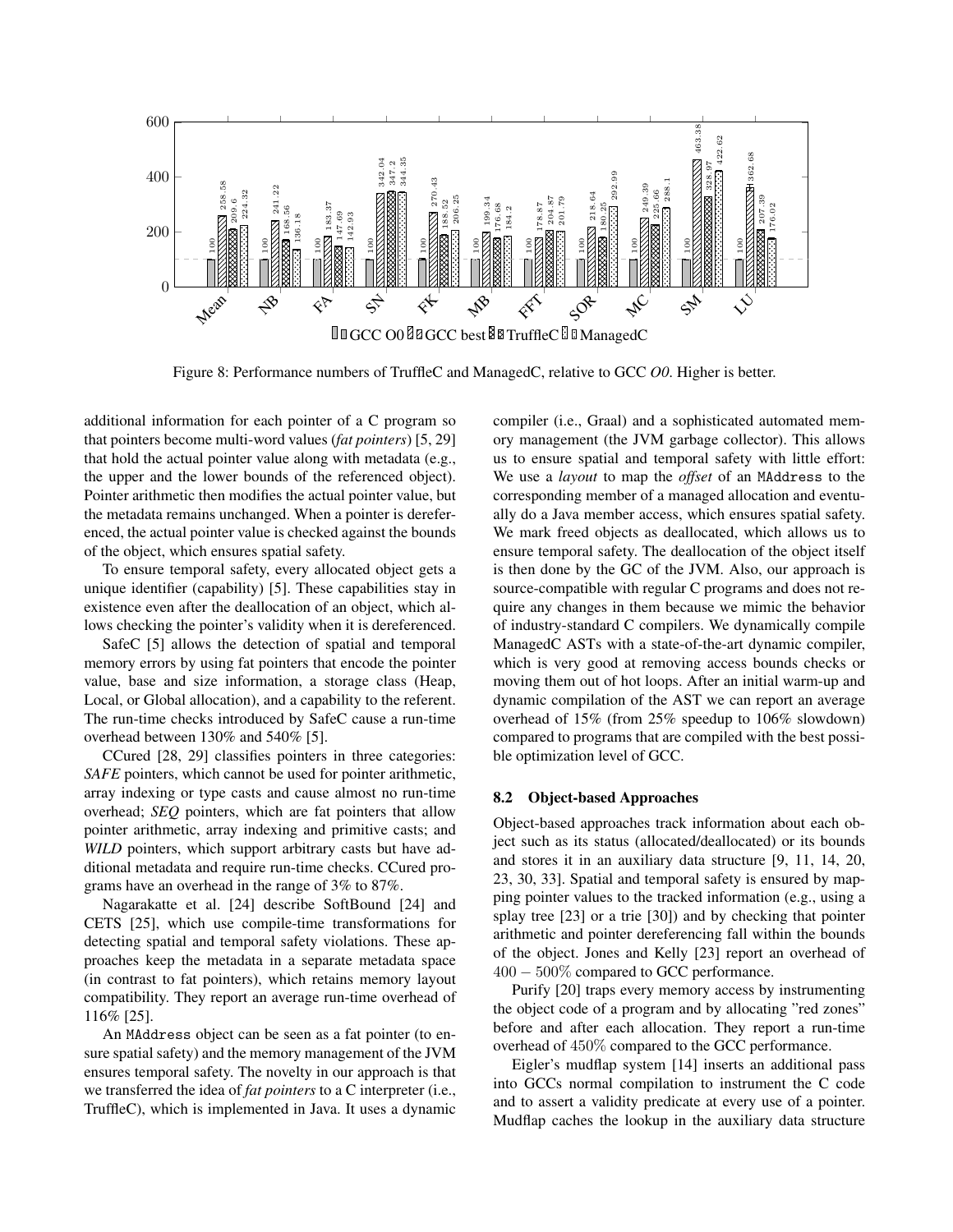<span id="page-9-0"></span>

Figure 8: Performance numbers of TruffleC and ManagedC, relative to GCC *O0*. Higher is better.

additional information for each pointer of a C program so that pointers become multi-word values (*fat pointers*) [\[5,](#page-10-2) [29\]](#page-11-31) that hold the actual pointer value along with metadata (e.g., the upper and the lower bounds of the referenced object). Pointer arithmetic then modifies the actual pointer value, but the metadata remains unchanged. When a pointer is dereferenced, the actual pointer value is checked against the bounds of the object, which ensures spatial safety.

To ensure temporal safety, every allocated object gets a unique identifier (capability) [\[5\]](#page-10-2). These capabilities stay in existence even after the deallocation of an object, which allows checking the pointer's validity when it is dereferenced.

SafeC [\[5\]](#page-10-2) allows the detection of spatial and temporal memory errors by using fat pointers that encode the pointer value, base and size information, a storage class (Heap, Local, or Global allocation), and a capability to the referent. The run-time checks introduced by SafeC cause a run-time overhead between 130% and 540% [\[5\]](#page-10-2).

CCured [\[28,](#page-11-30) [29\]](#page-11-31) classifies pointers in three categories: *SAFE* pointers, which cannot be used for pointer arithmetic, array indexing or type casts and cause almost no run-time overhead; *SEQ* pointers, which are fat pointers that allow pointer arithmetic, array indexing and primitive casts; and *WILD* pointers, which support arbitrary casts but have additional metadata and require run-time checks. CCured programs have an overhead in the range of 3% to 87%.

Nagarakatte et al. [\[24\]](#page-11-18) describe SoftBound [\[24\]](#page-11-18) and CETS [\[25\]](#page-11-19), which use compile-time transformations for detecting spatial and temporal safety violations. These approaches keep the metadata in a separate metadata space (in contrast to fat pointers), which retains memory layout compatibility. They report an average run-time overhead of 116% [\[25\]](#page-11-19).

An MAddress object can be seen as a fat pointer (to ensure spatial safety) and the memory management of the JVM ensures temporal safety. The novelty in our approach is that we transferred the idea of *fat pointers* to a C interpreter (i.e., TruffleC), which is implemented in Java. It uses a dynamic

compiler (i.e., Graal) and a sophisticated automated memory management (the JVM garbage collector). This allows us to ensure spatial and temporal safety with little effort: We use a *layout* to map the *offset* of an MAddress to the corresponding member of a managed allocation and eventually do a Java member access, which ensures spatial safety. We mark freed objects as deallocated, which allows us to ensure temporal safety. The deallocation of the object itself is then done by the GC of the JVM. Also, our approach is source-compatible with regular C programs and does not require any changes in them because we mimic the behavior of industry-standard C compilers. We dynamically compile ManagedC ASTs with a state-of-the-art dynamic compiler, which is very good at removing access bounds checks or moving them out of hot loops. After an initial warm-up and dynamic compilation of the AST we can report an average overhead of 15% (from 25% speedup to 106% slowdown) compared to programs that are compiled with the best possible optimization level of GCC.

#### 8.2 Object-based Approaches

Object-based approaches track information about each object such as its status (allocated/deallocated) or its bounds and stores it in an auxiliary data structure [\[9,](#page-10-4) [11,](#page-10-5) [14,](#page-11-1) [20,](#page-11-2) [23,](#page-11-3) [30,](#page-11-5) [33\]](#page-11-7). Spatial and temporal safety is ensured by mapping pointer values to the tracked information (e.g., using a splay tree [\[23\]](#page-11-3) or a trie [\[30\]](#page-11-5)) and by checking that pointer arithmetic and pointer dereferencing fall within the bounds of the object. Jones and Kelly [\[23\]](#page-11-3) report an overhead of 400 − 500% compared to GCC performance.

Purify [\[20\]](#page-11-2) traps every memory access by instrumenting the object code of a program and by allocating "red zones" before and after each allocation. They report a run-time overhead of 450% compared to the GCC performance.

Eigler's mudflap system [\[14\]](#page-11-1) inserts an additional pass into GCCs normal compilation to instrument the C code and to assert a validity predicate at every use of a pointer. Mudflap caches the lookup in the auxiliary data structure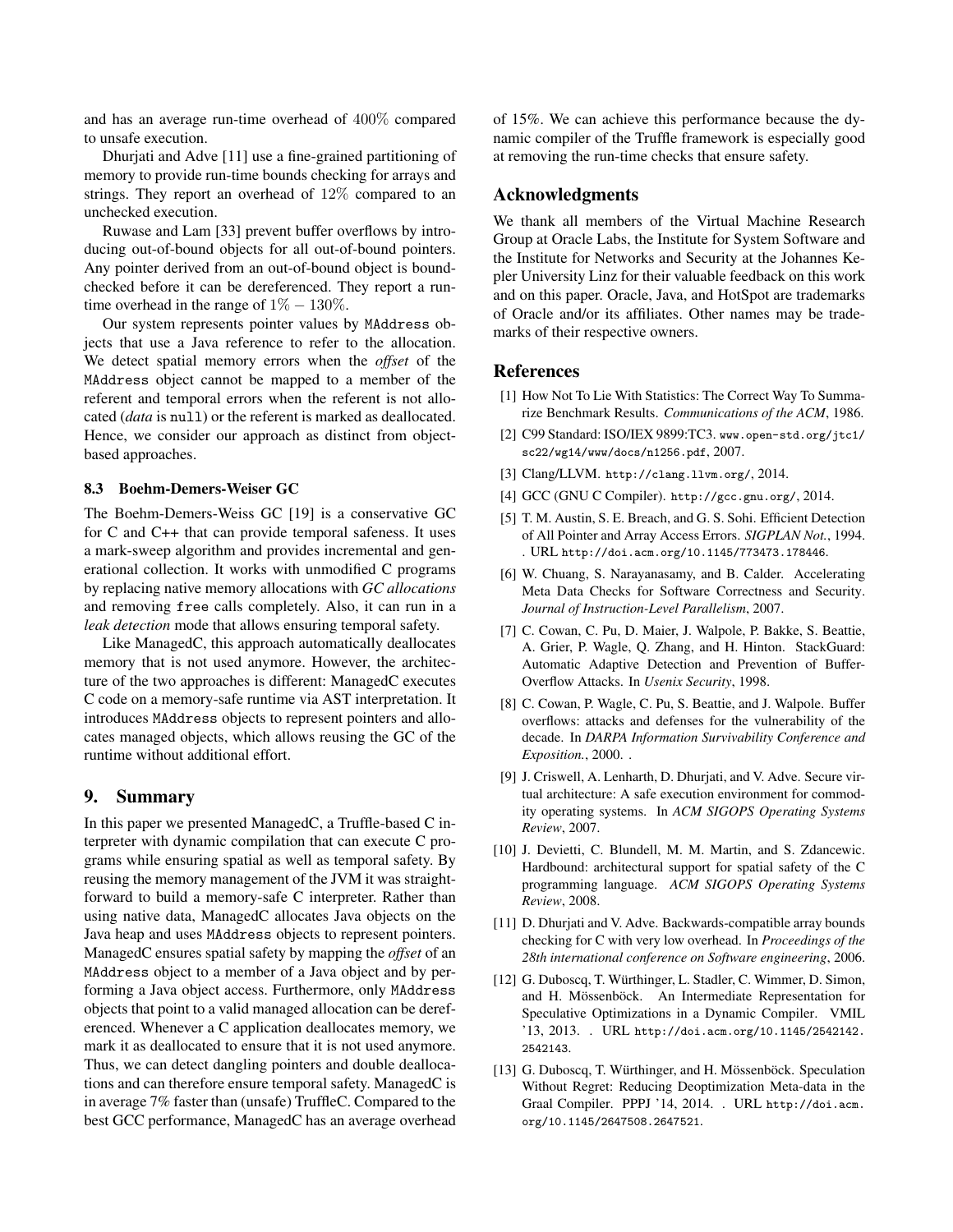and has an average run-time overhead of 400% compared to unsafe execution.

Dhurjati and Adve [\[11\]](#page-10-5) use a fine-grained partitioning of memory to provide run-time bounds checking for arrays and strings. They report an overhead of 12% compared to an unchecked execution.

Ruwase and Lam [\[33\]](#page-11-7) prevent buffer overflows by introducing out-of-bound objects for all out-of-bound pointers. Any pointer derived from an out-of-bound object is boundchecked before it can be dereferenced. They report a runtime overhead in the range of  $1\% - 130\%$ .

Our system represents pointer values by MAddress objects that use a Java reference to refer to the allocation. We detect spatial memory errors when the *offset* of the MAddress object cannot be mapped to a member of the referent and temporal errors when the referent is not allocated (*data* is null) or the referent is marked as deallocated. Hence, we consider our approach as distinct from objectbased approaches.

#### 8.3 Boehm-Demers-Weiser GC

The Boehm-Demers-Weiss GC [\[19\]](#page-11-32) is a conservative GC for C and C++ that can provide temporal safeness. It uses a mark-sweep algorithm and provides incremental and generational collection. It works with unmodified C programs by replacing native memory allocations with *GC allocations* and removing free calls completely. Also, it can run in a *leak detection* mode that allows ensuring temporal safety.

Like ManagedC, this approach automatically deallocates memory that is not used anymore. However, the architecture of the two approaches is different: ManagedC executes C code on a memory-safe runtime via AST interpretation. It introduces MAddress objects to represent pointers and allocates managed objects, which allows reusing the GC of the runtime without additional effort.

### 9. Summary

In this paper we presented ManagedC, a Truffle-based C interpreter with dynamic compilation that can execute C programs while ensuring spatial as well as temporal safety. By reusing the memory management of the JVM it was straightforward to build a memory-safe C interpreter. Rather than using native data, ManagedC allocates Java objects on the Java heap and uses MAddress objects to represent pointers. ManagedC ensures spatial safety by mapping the *offset* of an MAddress object to a member of a Java object and by performing a Java object access. Furthermore, only MAddress objects that point to a valid managed allocation can be dereferenced. Whenever a C application deallocates memory, we mark it as deallocated to ensure that it is not used anymore. Thus, we can detect dangling pointers and double deallocations and can therefore ensure temporal safety. ManagedC is in average 7% faster than (unsafe) TruffleC. Compared to the best GCC performance, ManagedC has an average overhead of 15%. We can achieve this performance because the dynamic compiler of the Truffle framework is especially good at removing the run-time checks that ensure safety.

# Acknowledgments

We thank all members of the Virtual Machine Research Group at Oracle Labs, the Institute for System Software and the Institute for Networks and Security at the Johannes Kepler University Linz for their valuable feedback on this work and on this paper. Oracle, Java, and HotSpot are trademarks of Oracle and/or its affiliates. Other names may be trademarks of their respective owners.

# References

- <span id="page-10-9"></span>[1] How Not To Lie With Statistics: The Correct Way To Summarize Benchmark Results. *Communications of the ACM*, 1986.
- <span id="page-10-6"></span>[2] C99 Standard: ISO/IEX 9899:TC3. [www.open-std.org/jtc1/](www.open-std.org/jtc1/sc22/wg14/www/docs/n1256.pdf) [sc22/wg14/www/docs/n1256.pdf](www.open-std.org/jtc1/sc22/wg14/www/docs/n1256.pdf), 2007.
- <span id="page-10-8"></span>[3] Clang/LLVM. <http://clang.llvm.org/>, 2014.
- <span id="page-10-7"></span>[4] GCC (GNU C Compiler). <http://gcc.gnu.org/>, 2014.
- <span id="page-10-2"></span>[5] T. M. Austin, S. E. Breach, and G. S. Sohi. Efficient Detection of All Pointer and Array Access Errors. *SIGPLAN Not.*, 1994. . URL <http://doi.acm.org/10.1145/773473.178446>.
- <span id="page-10-3"></span>[6] W. Chuang, S. Narayanasamy, and B. Calder. Accelerating Meta Data Checks for Software Correctness and Security. *Journal of Instruction-Level Parallelism*, 2007.
- <span id="page-10-0"></span>[7] C. Cowan, C. Pu, D. Maier, J. Walpole, P. Bakke, S. Beattie, A. Grier, P. Wagle, Q. Zhang, and H. Hinton. StackGuard: Automatic Adaptive Detection and Prevention of Buffer-Overflow Attacks. In *Usenix Security*, 1998.
- <span id="page-10-1"></span>[8] C. Cowan, P. Wagle, C. Pu, S. Beattie, and J. Walpole. Buffer overflows: attacks and defenses for the vulnerability of the decade. In *DARPA Information Survivability Conference and Exposition.*, 2000. .
- <span id="page-10-4"></span>[9] J. Criswell, A. Lenharth, D. Dhurjati, and V. Adve. Secure virtual architecture: A safe execution environment for commodity operating systems. In *ACM SIGOPS Operating Systems Review*, 2007.
- <span id="page-10-12"></span>[10] J. Devietti, C. Blundell, M. M. Martin, and S. Zdancewic. Hardbound: architectural support for spatial safety of the C programming language. *ACM SIGOPS Operating Systems Review*, 2008.
- <span id="page-10-5"></span>[11] D. Dhurjati and V. Adve. Backwards-compatible array bounds checking for C with very low overhead. In *Proceedings of the 28th international conference on Software engineering*, 2006.
- <span id="page-10-10"></span>[12] G. Duboscq, T. Würthinger, L. Stadler, C. Wimmer, D. Simon, and H. Mössenböck. An Intermediate Representation for Speculative Optimizations in a Dynamic Compiler. VMIL '13, 2013. . URL [http://doi.acm.org/10.1145/2542142.](http://doi.acm.org/10.1145/2542142.2542143) [2542143](http://doi.acm.org/10.1145/2542142.2542143).
- <span id="page-10-11"></span>[13] G. Duboscq, T. Würthinger, and H. Mössenböck. Speculation Without Regret: Reducing Deoptimization Meta-data in the Graal Compiler. PPPJ '14, 2014. . URL [http://doi.acm.](http://doi.acm.org/10.1145/2647508.2647521) [org/10.1145/2647508.2647521](http://doi.acm.org/10.1145/2647508.2647521).